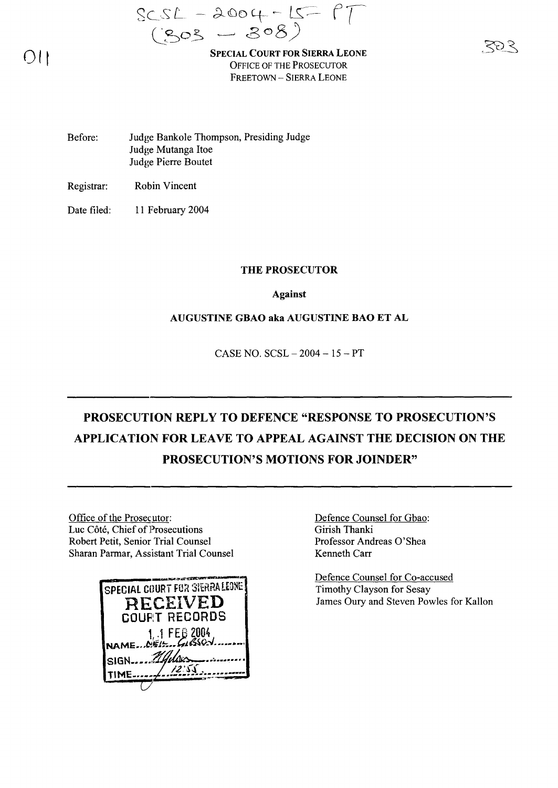$SCSL - 2004 - IS - 17$  $(Sos - 308)$ 

SPECIAL COURT FOR SIERRA LEONE OFFICE OF THE PROSECUTOR FREETOWN - SIERRA LEONE

Before: Judge Bankole Thompson, Presiding Judge Judge Mutanga Hoe Judge Pierre Boutet

Registrar: Robin Vincent

Date filed: 11 February 2004

#### THE PROSECUTOR

Against

#### AUGUSTINE GBAO aka AUGUSTINE BAO ET AL

CASE NO. SCSL - 2004 - 15 - PT

## PROSECUTION REPLY TO DEFENCE "RESPONSE TO PROSECUTION'S APPLICATION FOR LEAVE TO APPEAL AGAINST THE DECISION ON THE PROSECUTION'S MOTIONS FOR JOINDER"

Office of the Prosecutor: Luc Côté, Chief of Prosecutions Robert Petit, Senior Trial Counsel Sharan Parmar, Assistant Trial Counsel



Defence Counsel for Gbao: Girish Thanki Professor Andreas O'Shea Kenneth Carr

Defence Counsel for Co-accused Timothy Clayson for Sesay James Oury and Steven Powles for Kallon

 $O(1)$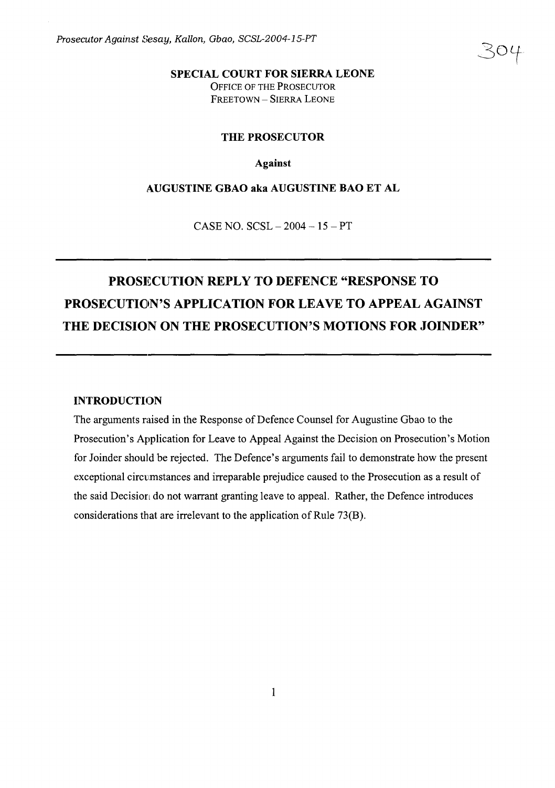ZOL

#### **SPECIAL COURT FOR SIERRA LEONE** OFFICE OF THE PROSECUTOR FREETOWN - SIERRA LEONE

#### **THE PROSECUTOR**

#### **Against**

#### **AUGUSTINE GBAO aka AUGUSTINE BAO ET AL**

CASE NO. SCSL - 2004 - 15 - PT

# PROSI~CUTION **REPLY TO DEFENCE "RESPONSE TO PROSECUTION'S APPLICATION FOR LEAVE TO APPEAL AGAINST THE DECISION ON THE PROSECUTION'S MOTIONS FOR JOINDER"**

#### **INTRODUCTION**

The arguments raised in the Response of Defence Counsel for Augustine Gbao to the Prosecution's Application for Leave to Appeal Against the Decision on Prosecution's Motion for Joinder should be rejected. The Defence's arguments fail to demonstrate how the present exceptional circumstances and irreparable prejudice caused to the Prosecution as a result of the said Decision do not warrant granting leave to appeal. Rather, the Defence introduces considerations that are irrelevant to the application of Rule  $73(B)$ .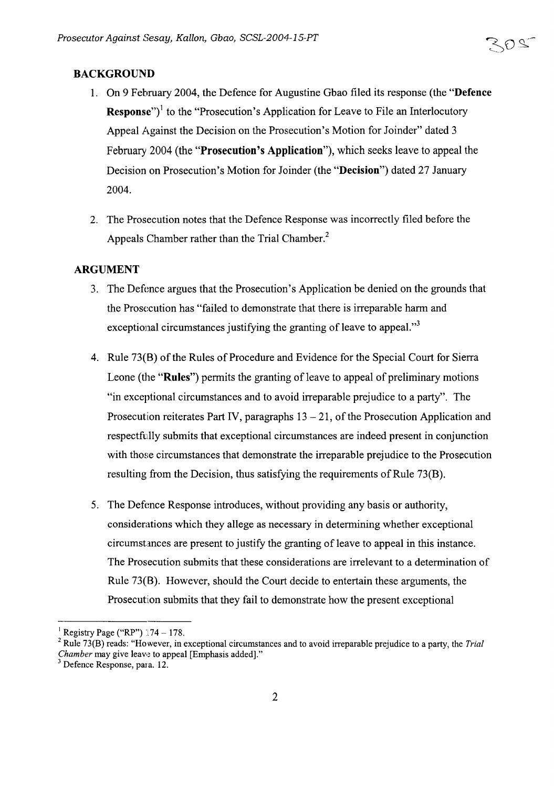#### BACKGROUND

- 1. On 9 February 2004, the Defence for Augustine Gbao filed its response (the "Defence **Response**")<sup> $\text{l}$ </sup> to the "Prosecution's Application for Leave to File an Interlocutory Appeal Against the Decision on the Prosecution's Motion for Joinder" dated 3 February 2004 (the "Prosecution's Application"), which seeks leave to appeal the Decision on Prosecution's Motion for Joinder (the "Decision") dated 27 January 2004.
- 2. The Prosecution notes that the Defence Response was incorrectly filed before the Appeals Chamber rather than the Trial Chamber.<sup>2</sup>

#### ARGUMENT

- 3. The Defence argues that the Prosecution's Application be denied on the grounds that the Prosecution has "failed to demonstrate that there is irreparable harm and exceptional circumstances justifying the granting of leave to appeal. $"$
- 4. Rule 73(B) of the Rules of Procedure and Evidence for the Special Court for Sierra Leone (the "Rules") permits the granting of leave to appeal of preliminary motions "in exceptional circumstances and to avoid irreparable prejudice to a party". The Prosecution reiterates Part IV, paragraphs  $13 - 21$ , of the Prosecution Application and respectfully submits that exceptional circumstances are indeed present in conjunction with those circumstances that demonstrate the irreparable prejudice to the Prosecution resulting from the Decision, thus satisfying the requirements of Rule 73(B).
- 5. The Defence Response introduces, without providing any basis or authority, considerations which they allege as necessary in determining whether exceptional circumstances are present to justify the granting ofleave to appeal in this instance. The Prosecution submits that these considerations are irrelevant to a determination of Rule 73(8). However, should the Court decide to entertain these arguments, the Prosecution submits that they fail to demonstrate how the present exceptional

<sup>&</sup>lt;sup>1</sup> Registry Page ("RP") 174 – 178.

<sup>2</sup> Rule 73(B) reads: "However, in exceptional circumstances and to avoid irreparable prejudice to a party, the *Trial Chamber* may give leave to appeal [Emphasis added]."

<sup>3</sup> Defence Response, para. 12.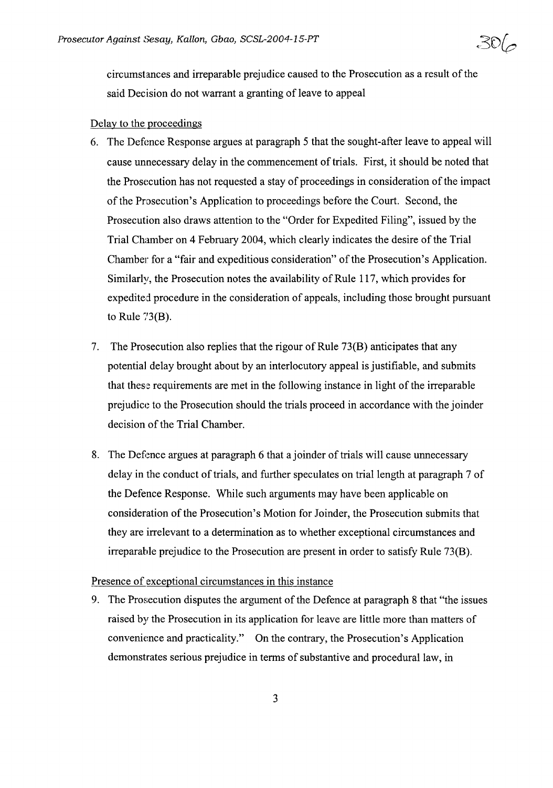circumstances and irreparable prejudice caused to the Prosecution as a result of the said Decision do not warrant a granting of leave to appeal

#### Delay to the proceedings

- 6. The Defence Response argues at paragraph 5 that the sought-after leave to appeal will cause unnecessary delay in the commencement of trials. First, it should be noted that the Prosecution has not requested a stay of proceedings in consideration of the impact ofthe Prosecution's Application to proceedings before the Court. Second, the Prosecution also draws attention to the "Order for Expedited Filing", issued by the Trial Chamber on 4 February 2004, whieh clearly indicates the desire ofthe Trial Chamber for a "fair and expeditious consideration" of the Prosecution's Application. Similarly, the Prosecution notes the availability of Rule 117, which provides for expedited procedure in the consideration of appeals, including those brought pursuant to Rule  $73(B)$ .
- 7. The Prosecution also replies that the rigour of Rule  $73(B)$  anticipates that any potential delay brought about by an interlocutory appeal is justifiable, and submits that these requirements are met in the following instance in light of the irreparable prejudice to the Prosecution should the trials proceed in accordance with the joinder decision of the Trial Chamber.
- 8. The Defence argues at paragraph 6 that a joinder of trials will cause unnecessary delay in the conduct of trials, and further speculates on trial length at paragraph 7 of the Defence Response. While such arguments may have been applicable on consideration ofthe Prosecution's Motion for Joinder, the Prosecution submits that they are irrelevant to a determination as to whether exceptional circumstances and irreparable prejudice to the Prosecution are present in order to satisfy Rule 73(B).

#### Presence of exceptional circumstances in this instance

9. The Prosecution disputes the argument of the Defence at paragraph 8 that "the issues" raised by the Prosecution in its application for leave are little more than matters of convenience and practicality." On the contrary, the Prosecution's Application demonstrates serious prejudice in terms of substantive and procedural law, in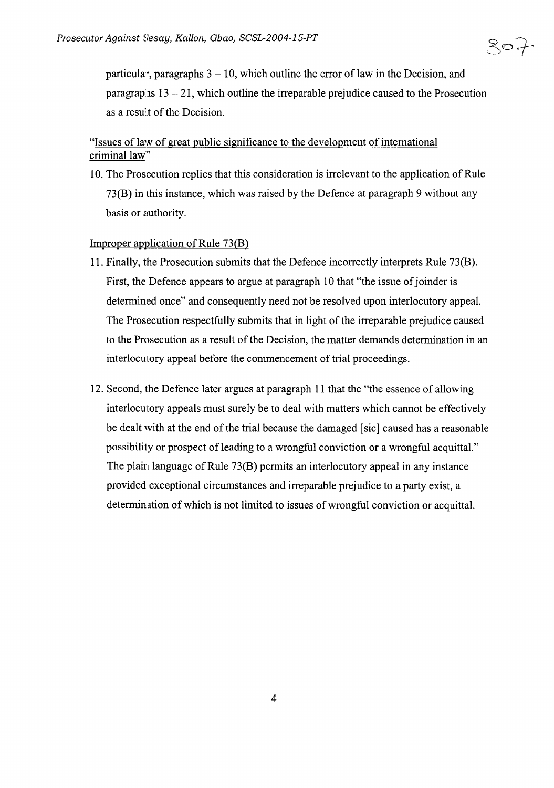$80 +$ 

particular, paragraphs  $3 - 10$ , which outline the error of law in the Decision, and paragraphs  $13 - 21$ , which outline the irreparable prejudice caused to the Prosecution as a result of the Decision.

## "Issues of law of great public significance to the development of international criminal law"

10. The Prosecution replies that this consideration is irrelevant to the application of Rule 73(B) in this instance, which was raised by the Defence at paragraph 9 without any basis or authority.

### Improper application of Rule  $73(B)$

- 11. Finally, the Prosecution submits that the Defence incorrectly interprets Rule 73(B). First, the Defence appears to argue at paragraph 10 that "the issue of joinder is determined once" and consequently need not be resolved upon interlocutory appeal. The Prosecution respectfully submits that in light of the irreparable prejudice caused to the Prosecution as a result of the Decision, the matter demands determination in an interlocutory appeal before the commencement of trial proceedings.
- 12. Second, the Defence later argues at paragraph **11** that the "the essence of allowing interlocutory appeals must surely be to deal with matters which cannot be effectively be dealt with at the end of the trial because the damaged [sic] caused has a reasonable possibility or prospect of leading to a wrongful conviction or a wrongful acquittal." The plain language of Rule 73(B) permits an interlocutory appeal in any instance provided exceptional circumstances and irreparable prejudice to a party exist, a determination of which is not limited to issues of wrongful conviction or acquittal.